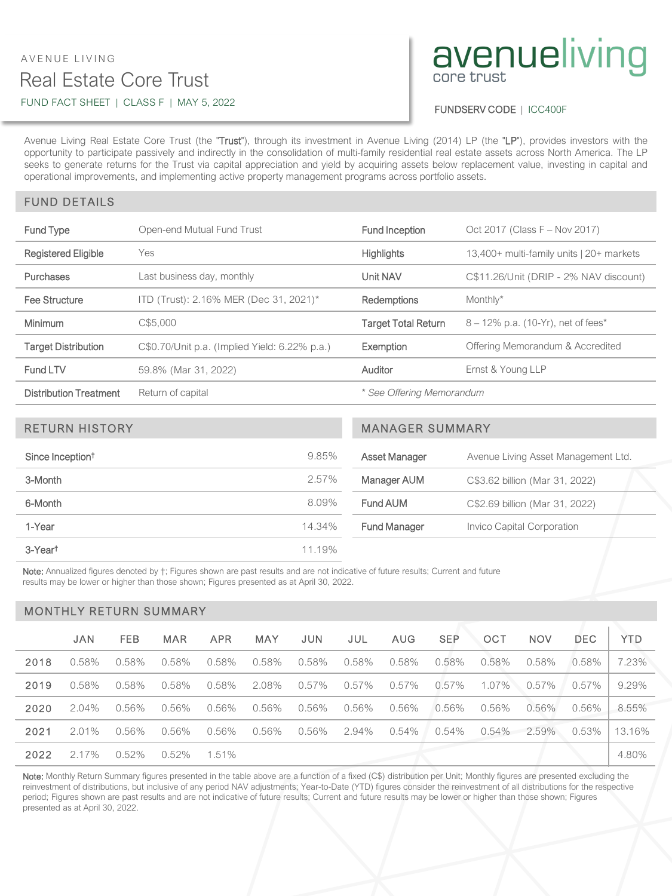## Real Estate Core Trust AVENUE LIVING FUND FACT SHEET | CLASS F | MAY 5, 2022

# avenueliving

FUNDSERV CODE | ICC400F

Avenue Living Real Estate Core Trust (the "Trust"), through its investment in Avenue Living (2014) LP (the "LP"), provides investors with the opportunity to participate passively and indirectly in the consolidation of multi-family residential real estate assets across North America. The LP seeks to generate returns for the Trust via capital appreciation and yield by acquiring assets below replacement value, investing in capital and operational improvements, and implementing active property management programs across portfolio assets.

## FUND DETAILS

| Fund Type                     | Open-end Mutual Fund Trust                    | Fund Inception             | Oct 2017 (Class F - Nov 2017)            |  |  |
|-------------------------------|-----------------------------------------------|----------------------------|------------------------------------------|--|--|
| <b>Registered Eligible</b>    | Yes                                           | <b>Highlights</b>          | 13,400+ multi-family units   20+ markets |  |  |
| <b>Purchases</b>              | Last business day, monthly                    | Unit NAV                   | C\$11.26/Unit (DRIP - 2% NAV discount)   |  |  |
| Fee Structure                 | ITD (Trust): 2.16% MER (Dec 31, 2021)*        | <b>Redemptions</b>         | Monthly*                                 |  |  |
| <b>Minimum</b>                | C\$5.000                                      | <b>Target Total Return</b> | $8 - 12\%$ p.a. (10-Yr), net of fees*    |  |  |
| <b>Target Distribution</b>    | C\$0.70/Unit p.a. (Implied Yield: 6.22% p.a.) | Exemption                  | Offering Memorandum & Accredited         |  |  |
| Fund LTV                      | 59.8% (Mar 31, 2022)                          | Auditor                    | Ernst & Young LLP                        |  |  |
| <b>Distribution Treatment</b> | Return of capital                             | * See Offering Memorandum  |                                          |  |  |

| <b>RETURN HISTORY</b>        | <b>MANAGER SUMMARY</b> |                     |                                     |  |
|------------------------------|------------------------|---------------------|-------------------------------------|--|
| Since Inception <sup>†</sup> | 9.85%                  | Asset Manager       | Avenue Living Asset Management Ltd. |  |
| 3-Month                      | 2.57%                  | <b>Manager AUM</b>  | C\$3.62 billion (Mar 31, 2022)      |  |
| 6-Month                      | 8.09%                  | Fund AUM            | C\$2.69 billion (Mar 31, 2022)      |  |
| 1-Year                       | 14.34%                 | <b>Fund Manager</b> | Invico Capital Corporation          |  |
| 3-Yeart                      | 11.19%                 |                     |                                     |  |

Note: Annualized figures denoted by  $+$ ; Figures shown are past results and are not indicative of future results; Current and future results may be lower or higher than those shown; Figures presented as at April 30, 2022.

#### MONTHLY RETURN SUMMARY

|      | <b>JAN</b> | <b>FEB</b> | <b>MAR</b> | <b>APR</b> | <b>MAY</b> | <b>JUN</b> | JUL      | <b>AUG</b> | <b>SEP</b> | OCT   | <b>NOV</b> | <b>DEC</b> | <b>YTD</b> |
|------|------------|------------|------------|------------|------------|------------|----------|------------|------------|-------|------------|------------|------------|
| 2018 | 0.58%      | 0.58%      | 0.58%      | 0.58%      | 0.58%      | 0.58%      | 0.58%    | 0.58%      | 0.58%      | 0.58% | 0.58%      | 0.58%      | 7.23%      |
| 2019 | 0.58%      | 0.58%      | 0.58%      | 0.58%      | 2.08%      | 0.57%      | $0.57\%$ | 0.57%      | 0.57%      | 1.07% | 0.57%      | $0.57\%$   | 9.29%      |
| 2020 | $2.04\%$   | $0.56\%$   | 0.56%      | 0.56%      | 0.56%      | 0.56%      | 0.56%    | 0.56%      | 0.56%      | 0.56% | 0.56%      | 0.56%      | 8.55%      |
| 2021 | $2.01\%$   | $0.56\%$   | 0.56%      | 0.56%      | 0.56%      | 0.56%      | 2.94%    | 0.54%      | 0.54%      | 0.54% | 2.59%      | 0.53%      | 13.16%     |
| 2022 | 2.17%      | 0.52%      | 0.52%      | 1.51%      |            |            |          |            |            |       |            |            | 4.80%      |

Note: Monthly Return Summary figures presented in the table above are a function of a fixed (C\$) distribution per Unit; Monthly figures are presented excluding the reinvestment of distributions, but inclusive of any period NAV adjustments; Year-to-Date (YTD) figures consider the reinvestment of all distributions for the respective period; Figures shown are past results and are not indicative of future results; Current and future results may be lower or higher than those shown; Figures presented as at April 30, 2022.